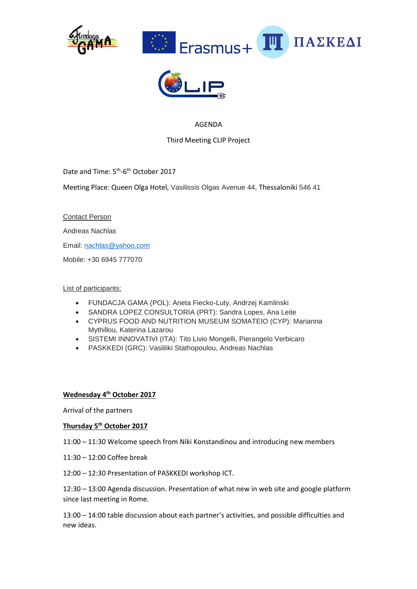





## AGENDA

Third Meeting CLIP Project

Date and Time: 5<sup>th</sup>-6<sup>th</sup> October 2017

Meeting Place: Queen Olga Hotel, Vasilissis Olgas Avenue 44, Thessaloniki 546 41

Contact Person

Andreas Nachlas

Email: [nachlas@yahoo.com](mailto:nachlas@yahoo.com)

Mobile: +30 6945 777070

### List of participants:

- FUNDACJA GAMA (POL): Aneta Fiecko-Luty, Andrzej Kamlinski
- SANDRA LOPEZ CONSULTORIA (PRT): Sandra Lopes, Ana Leite
- CYPRUS FOOD AND NUTRITION MUSEUM SOMATEIO (CYP): Marianna Mythillou, Katerina Lazarou
- SISTEMI INNOVATIVI (ITA): Tito Livio Mongelli, Pierangelo Verbicaro
- PASKKEDI (GRC): Vasliliki Stathopoulou, Andreas Nachlas

### **Wednesday 4th October 2017**

Arrival of the partners

### **Thursday 5th October 2017**

11:00 – 11:30 Welcome speech from Niki Konstandinou and introducing new members

11:30 – 12:00 Coffee break

12:00 – 12:30 Presentation of PASKKEDI workshop ICT.

12:30 – 13:00 Agenda discussion. Presentation of what new in web site and google platform since last meeting in Rome.

13:00 – 14:00 table discussion about each partner's activities, and possible difficulties and new ideas.